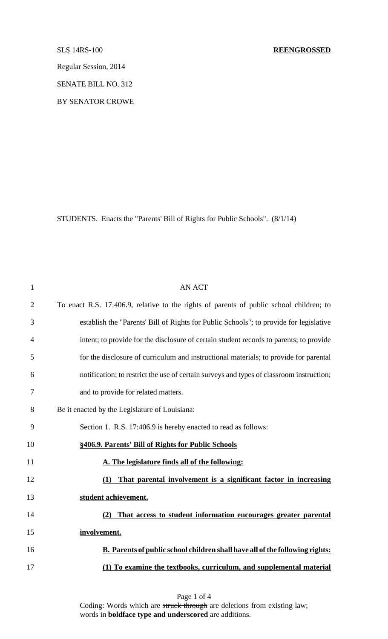Regular Session, 2014

SENATE BILL NO. 312

BY SENATOR CROWE

STUDENTS. Enacts the "Parents' Bill of Rights for Public Schools". (8/1/14)

| $\mathbf{1}$   | <b>AN ACT</b>                                                                            |
|----------------|------------------------------------------------------------------------------------------|
| $\overline{2}$ | To enact R.S. 17:406.9, relative to the rights of parents of public school children; to  |
| 3              | establish the "Parents' Bill of Rights for Public Schools"; to provide for legislative   |
| 4              | intent; to provide for the disclosure of certain student records to parents; to provide  |
| 5              | for the disclosure of curriculum and instructional materials; to provide for parental    |
| 6              | notification; to restrict the use of certain surveys and types of classroom instruction; |
| 7              | and to provide for related matters.                                                      |
| 8              | Be it enacted by the Legislature of Louisiana:                                           |
| 9              | Section 1. R.S. 17:406.9 is hereby enacted to read as follows:                           |
| 10             | §406.9. Parents' Bill of Rights for Public Schools                                       |
| 11             | A. The legislature finds all of the following:                                           |
| 12             | That parental involvement is a significant factor in increasing<br>(1)                   |
| 13             | student achievement.                                                                     |
| 14             | That access to student information encourages greater parental<br>(2)                    |
| 15             | involvement.                                                                             |
| 16             | <b>B.</b> Parents of public school children shall have all of the following rights:      |
| 17             | (1) To examine the textbooks, curriculum, and supplemental material                      |

Page 1 of 4 Coding: Words which are struck through are deletions from existing law; words in **boldface type and underscored** are additions.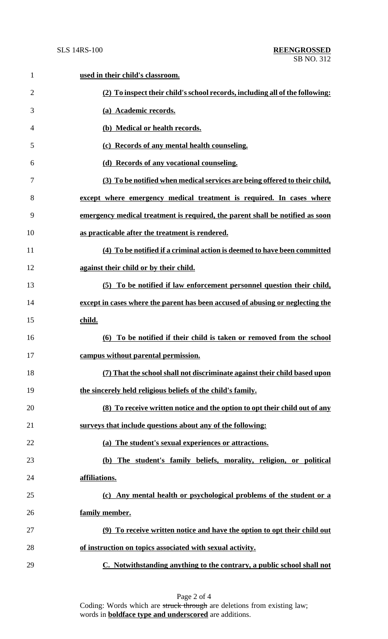| $\mathbf{1}$   | used in their child's classroom.                                               |
|----------------|--------------------------------------------------------------------------------|
| $\overline{2}$ | (2) To inspect their child's school records, including all of the following:   |
| 3              | (a) Academic records.                                                          |
| 4              | (b) Medical or health records.                                                 |
| 5              | (c) Records of any mental health counseling.                                   |
| 6              | (d) Records of any vocational counseling.                                      |
| 7              | (3) To be notified when medical services are being offered to their child,     |
| 8              | except where emergency medical treatment is required. In cases where           |
| 9              | emergency medical treatment is required, the parent shall be notified as soon  |
| 10             | as practicable after the treatment is rendered.                                |
| 11             | (4) To be notified if a criminal action is deemed to have been committed       |
| 12             | against their child or by their child.                                         |
| 13             | (5) To be notified if law enforcement personnel question their child,          |
| 14             | except in cases where the parent has been accused of abusing or neglecting the |
| 15             | child.                                                                         |
| 16             | (6) To be notified if their child is taken or removed from the school          |
| 17             | campus without parental permission.                                            |
| 18             | (7) That the school shall not discriminate against their child based upon      |
| 19             | the sincerely held religious beliefs of the child's family.                    |
| 20             | (8) To receive written notice and the option to opt their child out of any     |
| 21             | surveys that include questions about any of the following:                     |
| 22             | (a) The student's sexual experiences or attractions.                           |
| 23             | (b) The student's family beliefs, morality, religion, or political             |
| 24             | affiliations.                                                                  |
| 25             | (c) Any mental health or psychological problems of the student or a            |
| 26             | family member.                                                                 |
| 27             | (9) To receive written notice and have the option to opt their child out       |
| 28             | of instruction on topics associated with sexual activity.                      |
| 29             | C. Notwithstanding anything to the contrary, a public school shall not         |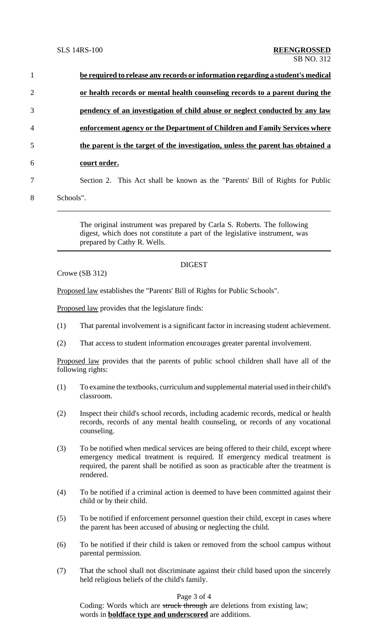| or health records or mental health counseling records to a parent during the<br>pendency of an investigation of child abuse or neglect conducted by any law |
|-------------------------------------------------------------------------------------------------------------------------------------------------------------|
|                                                                                                                                                             |
|                                                                                                                                                             |
| enforcement agency or the Department of Children and Family Services where                                                                                  |
| the parent is the target of the investigation, unless the parent has obtained a                                                                             |
| court order.                                                                                                                                                |
| Section 2. This Act shall be known as the "Parents' Bill of Rights for Public                                                                               |
| Schools".                                                                                                                                                   |
|                                                                                                                                                             |

The original instrument was prepared by Carla S. Roberts. The following digest, which does not constitute a part of the legislative instrument, was prepared by Cathy R. Wells.

Crowe (SB 312)

# DIGEST

Proposed law establishes the "Parents' Bill of Rights for Public Schools".

Proposed law provides that the legislature finds:

- (1) That parental involvement is a significant factor in increasing student achievement.
- (2) That access to student information encourages greater parental involvement.

Proposed law provides that the parents of public school children shall have all of the following rights:

- (1) To examine the textbooks, curriculum and supplemental material used in their child's classroom.
- (2) Inspect their child's school records, including academic records, medical or health records, records of any mental health counseling, or records of any vocational counseling.
- (3) To be notified when medical services are being offered to their child, except where emergency medical treatment is required. If emergency medical treatment is required, the parent shall be notified as soon as practicable after the treatment is rendered.
- (4) To be notified if a criminal action is deemed to have been committed against their child or by their child.
- (5) To be notified if enforcement personnel question their child, except in cases where the parent has been accused of abusing or neglecting the child.
- (6) To be notified if their child is taken or removed from the school campus without parental permission.
- (7) That the school shall not discriminate against their child based upon the sincerely held religious beliefs of the child's family.

## Page 3 of 4

Coding: Words which are struck through are deletions from existing law; words in **boldface type and underscored** are additions.